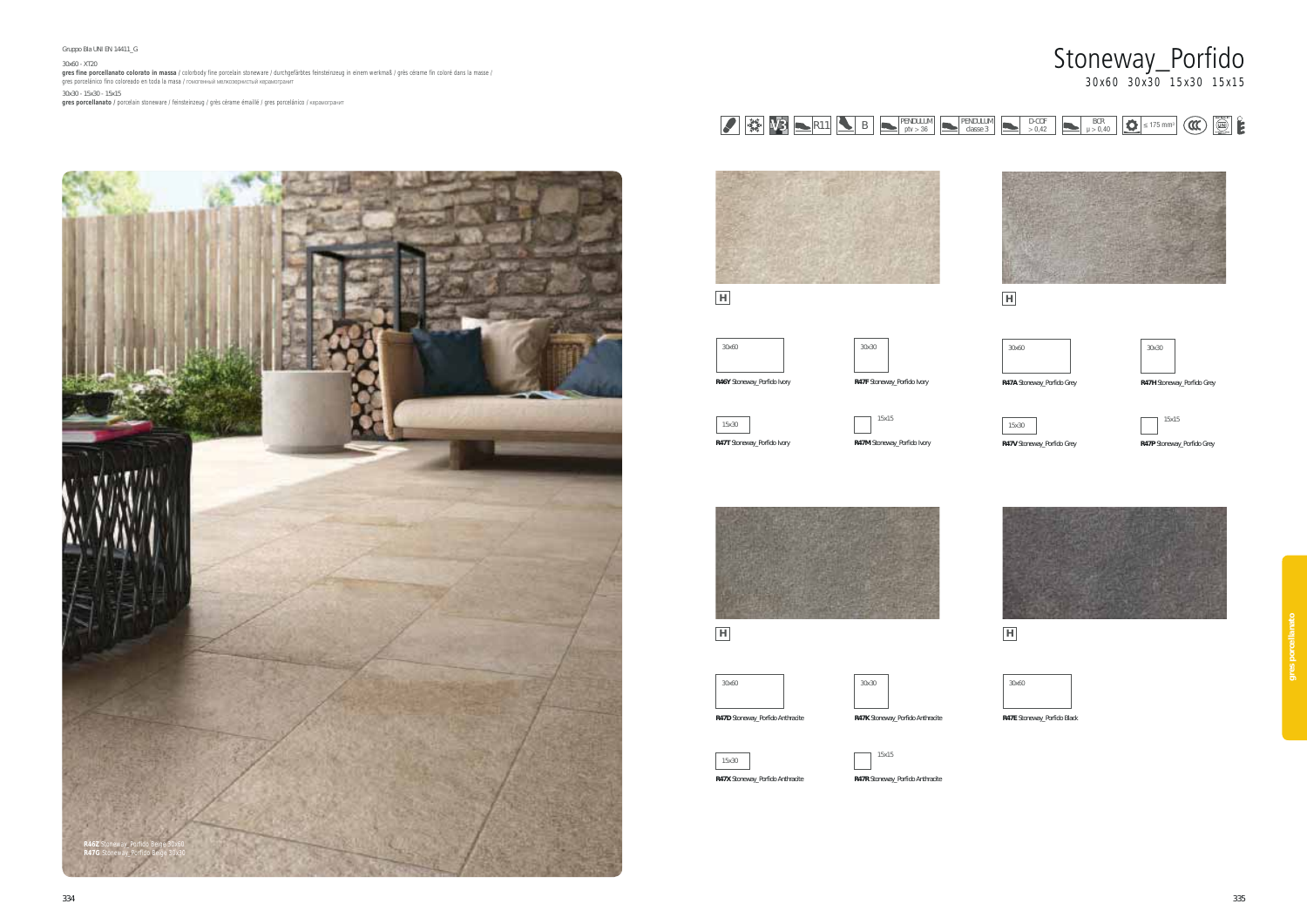



#### Gruppo BIa UNI EN 14411\_G

#### 30x60 - XT20

**gres fine porcellanato colorato in massa /** colorbody fine porcelain stoneware / durchgefärbtes feinsteinzeug in einem werkmaß / grès cérame fin coloré dans la masse /<br>gres porcelánico fino coloreado en toda la masa / го

30x30 - 15x30 - 15x15<br>**gres porcellanato /** porcelain stoneware / feinsteinzeug / grès cérame émaillé / gres porcelánico / керамогранит





# **H**



### **R46Y** Stoneway\_Porfido Ivory

15x30 **R47T** Stoneway\_Porfido Ivory



**R47F** Stoneway\_Porfido Ivory





**H**





**R47D** Stoneway\_Porfido Anthracite



30x30





**R47R** Stoneway\_Porfido Anthracite

**H**

| 30x60                       |  |
|-----------------------------|--|
|                             |  |
| R47E Stoneway Porfido Black |  |